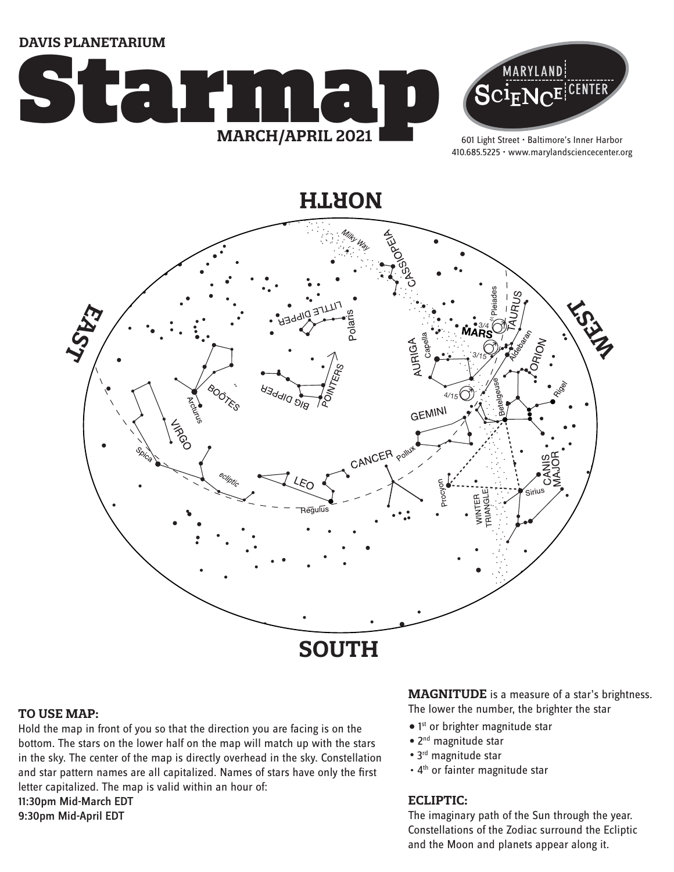**DAVIS PLANETARIUM**





601 Light Street • Baltimore's Inner Harbor 410.685.5225 • www.marylandsciencecenter.org

**NORTH**



#### **TO USE MAP:**

Hold the map in front of you so that the direction you are facing is on the bottom. The stars on the lower half on the map will match up with the stars in the sky. The center of the map is directly overhead in the sky. Constellation and star pattern names are all capitalized. Names of stars have only the first letter capitalized. The map is valid within an hour of: 11:30pm Mid-March EDT 9:30pm Mid-April EDT

**MAGNITUDE** is a measure of a star's brightness. The lower the number, the brighter the star

- $\bullet$  1st or brighter magnitude star
- 2<sup>nd</sup> magnitude star
- 3<sup>rd</sup> magnitude star
- 4<sup>th</sup> or fainter magnitude star

#### **ECLIPTIC:**

The imaginary path of the Sun through the year. Constellations of the Zodiac surround the Ecliptic and the Moon and planets appear along it.